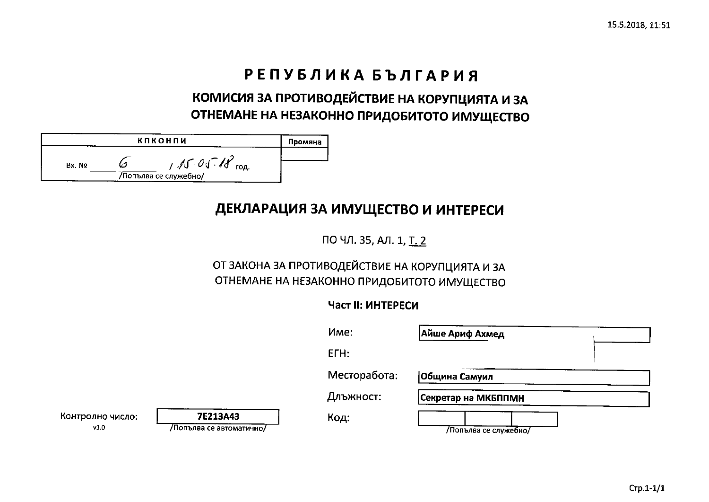# РЕПУБЛИКА БЪЛГАРИЯ

## КОМИСИЯ ЗА ПРОТИВОДЕЙСТВИЕ НА КОРУПЦИЯТА И ЗА ОТНЕМАНЕ НА НЕЗАКОННО ПРИДОБИТОТО ИМУЩЕСТВО

| кпконпи |  | Промяна                                |  |
|---------|--|----------------------------------------|--|
| Bx No   |  | 15.01<br>год.<br>/Попълва се служебно/ |  |

## ДЕКЛАРАЦИЯ ЗА ИМУЩЕСТВО И ИНТЕРЕСИ

ПО ЧЛ. 35, АЛ. 1, Т. 2

### ОТ ЗАКОНА ЗА ПРОТИВОДЕЙСТВИЕ НА КОРУПЦИЯТА И ЗА ОТНЕМАНЕ НА НЕЗАКОННО ПРИДОБИТОТО ИМУЩЕСТВО

### **Част II: ИНТЕРЕСИ**

|                          |                                     | Mme:         | Айше Ариф Ахмед      |  |
|--------------------------|-------------------------------------|--------------|----------------------|--|
|                          |                                     | ETH:         |                      |  |
|                          |                                     | Месторабота: | Община Самуил        |  |
|                          |                                     | Длъжност:    | Секретар на МКБППМН  |  |
| Контролно число:<br>v1.0 | 7E213A43<br>Лопълва се автоматично/ | Код:         | Попълва се служебно/ |  |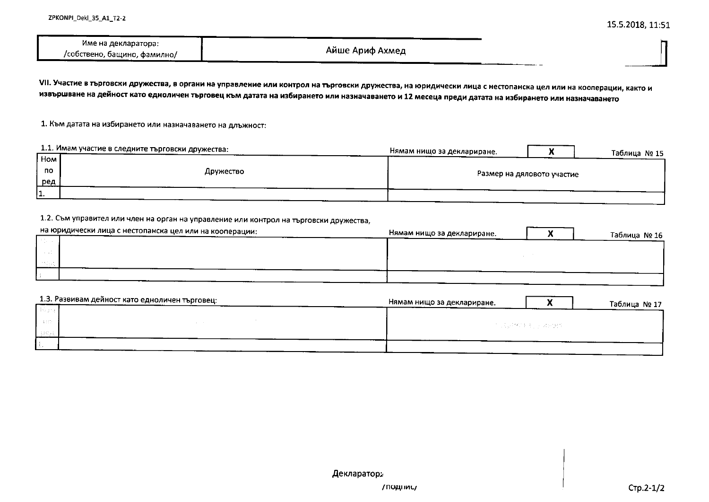| Име на декларатора:          |                 |
|------------------------------|-----------------|
| /собствено, бащино, фамилно/ | Айше Ариф Ахмед |

VII. Участие в търговски дружества, в органи на управление или контрол на търговски дружества, на юридически лица с нестопанска цел или на кооперации, както и извършване на дейност като едноличен търговец към датата на избирането или назначаването и 12 месеца преди датата на избирането или назначаването

1. Към датата на избирането или назначаването на длъжност:

|           | 1.1. Имам участие в следните търговски дружества: | Нямам нищо за деклариране.<br>Таблица № 15 |
|-----------|---------------------------------------------------|--------------------------------------------|
| Hom       |                                                   |                                            |
| <b>no</b> | Дружество                                         | Размер на дяловото участие                 |
| ред       |                                                   |                                            |
| .         |                                                   |                                            |

#### 1.2. Съм управител или член на орган на управление или контрол на търговски дружества,

| на юридически лица с нестопанска цел или на кооперации: | Нямам нищо за деклариране. | Таблица № 16 |
|---------------------------------------------------------|----------------------------|--------------|
|                                                         |                            |              |
|                                                         |                            |              |
|                                                         |                            |              |
|                                                         |                            |              |

| Нямам нищо за деклариране. |  | Таблица № 17                   |
|----------------------------|--|--------------------------------|
|                            |  |                                |
|                            |  |                                |
|                            |  |                                |
|                            |  |                                |
|                            |  | - TV : Qué 예정 비밀 / Hoade (By#) |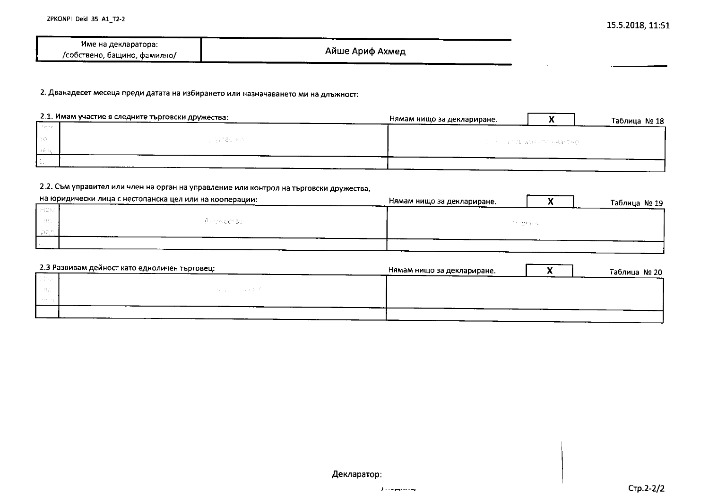| Име на декларатора:          |                 |
|------------------------------|-----------------|
| /собствено, бащино, фамилно/ | Айше Ариф Ахмед |

2. Дванадесет месеца преди датата на избирането или назначаването ми на длъжност:

|                | 2.1. Имам участие в следните търговски дружества: | Нямам нищо за деклариране. |                                           | Таблица № 18 |
|----------------|---------------------------------------------------|----------------------------|-------------------------------------------|--------------|
| <b>T</b> hiosa |                                                   |                            |                                           |              |
| -liso          | 不好 相应 解除                                          |                            | 2. 그 오 시 2014 이 절기 A CHA 작가장 속 백화 60% 원 2 |              |
|                |                                                   |                            |                                           |              |
|                |                                                   |                            |                                           |              |

#### 2.2. Съм управител или член на орган на управление или контрол на търговски дружества,

|       | на юридически лица с нестопанска цел или на кооперации: | Нямам нищо за деклариране.<br>Таблица № 19 |
|-------|---------------------------------------------------------|--------------------------------------------|
| і Нам |                                                         |                                            |
| - 85  | alproductor                                             | in tama an                                 |
|       |                                                         |                                            |
| 1929  |                                                         |                                            |

| 2.3 Развивам дейност като едноличен търговец: |                  | Нямам нищо за деклариране. | Таблица № 20 |
|-----------------------------------------------|------------------|----------------------------|--------------|
| <b>Silico</b>                                 |                  |                            |              |
| - BC                                          | <b>Carl Cole</b> |                            |              |
| <b>CONTRACTOR</b><br>the contract of the con- |                  |                            |              |
|                                               |                  |                            |              |
|                                               |                  |                            |              |